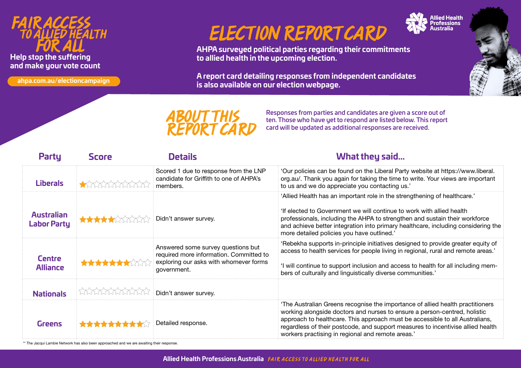### *FAIR ACCESS TO ALLIED HEALTH FOR ALL*  **Help stop the suffering and make your vote count**

**ahpa.com.au/electioncampaign**

# *ELECTION REPORT CARD*

**AHPA surveyed political parties regarding their commitments to allied health in the upcoming election.**

**A report card detailing responses from independent candidates is also available on our election webpage.**



*ABOUT THIS REPORT CARD* Responses from parties and candidates are given a score out of ten. Those who have yet to respond are listed below. This report card will be updated as additional responses are received.

| <b>Party</b>                            | <b>Score</b>          | <b>Details</b>                                                                                                                         | What they said                                                                                                                                                                                                                                                                                                                                                                      |
|-----------------------------------------|-----------------------|----------------------------------------------------------------------------------------------------------------------------------------|-------------------------------------------------------------------------------------------------------------------------------------------------------------------------------------------------------------------------------------------------------------------------------------------------------------------------------------------------------------------------------------|
| <b>Liberals</b>                         |                       | Scored 1 due to response from the LNP<br>candidate for Griffith to one of AHPA's<br>members.                                           | 'Our policies can be found on the Liberal Party website at https://www.liberal.<br>org.au/. Thank you again for taking the time to write. Your views are important<br>to us and we do appreciate you contacting us.'                                                                                                                                                                |
| <b>Australian</b><br><b>Labor Party</b> | <b>THE TELEVISION</b> | Didn't answer survey.                                                                                                                  | 'Allied Health has an important role in the strengthening of healthcare.'<br>'If elected to Government we will continue to work with allied health<br>professionals, including the AHPA to strengthen and sustain their workforce<br>and achieve better integration into primary healthcare, including considering the<br>more detailed policies you have outlined.'                |
| <b>Centre</b><br><b>Alliance</b>        |                       | Answered some survey questions but<br>required more information. Committed to<br>exploring our asks with whomever forms<br>government. | 'Rebekha supports in-principle initiatives designed to provide greater equity of<br>access to health services for people living in regional, rural and remote areas.'<br>'I will continue to support inclusion and access to health for all including mem-<br>bers of culturally and linguistically diverse communities.'                                                           |
| <b>Nationals</b>                        | <b>MAXXXXXXXXXX</b>   | Didn't answer survey.                                                                                                                  |                                                                                                                                                                                                                                                                                                                                                                                     |
| Greens                                  | **********            | Detailed response.                                                                                                                     | 'The Australian Greens recognise the importance of allied health practitioners<br>working alongside doctors and nurses to ensure a person-centred, holistic<br>approach to healthcare. This approach must be accessible to all Australians,<br>regardless of their postcode, and support measures to incentivise allied health<br>workers practising in regional and remote areas.' |

\*\* The Jacqui Lambie Network has also been approached and we are awaiting their response.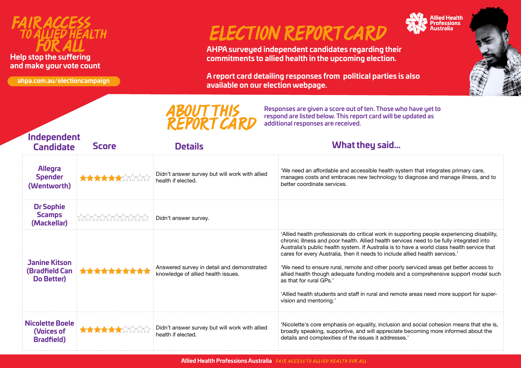

#### **Help stop the suffering and make your vote count**

**ahpa.com.au/electioncampaign**

## *ELECTION REPORT CARD*

**AHPA surveyed independent candidates regarding their commitments to allied health in the upcoming election.**

**A report card detailing responses from political parties is also available on our election webpage.**

Responses are given a score out of ten. Those who have yet to respond are listed below. This report card will be updated as





| <b>REPORT CARD</b><br>Tespond are ilsted below. This report card will be updated as<br>additional responses are received. |                    |                                                                                  |                                                                                                                                                                                                                                                                                                                                                                                                                                                                                                                                                                                                                                                                                                         |  |  |  |  |
|---------------------------------------------------------------------------------------------------------------------------|--------------------|----------------------------------------------------------------------------------|---------------------------------------------------------------------------------------------------------------------------------------------------------------------------------------------------------------------------------------------------------------------------------------------------------------------------------------------------------------------------------------------------------------------------------------------------------------------------------------------------------------------------------------------------------------------------------------------------------------------------------------------------------------------------------------------------------|--|--|--|--|
| Independent<br><b>Candidate</b>                                                                                           | <b>Score</b>       | <b>Details</b>                                                                   | What they said                                                                                                                                                                                                                                                                                                                                                                                                                                                                                                                                                                                                                                                                                          |  |  |  |  |
| <b>Allegra</b><br><b>Spender</b><br>(Wentworth)                                                                           |                    | Didn't answer survey but will work with allied<br>health if elected.             | 'We need an affordable and accessible health system that integrates primary care,<br>manages costs and embraces new technology to diagnose and manage illness, and to<br>better coordinate services.                                                                                                                                                                                                                                                                                                                                                                                                                                                                                                    |  |  |  |  |
| <b>Dr Sophie</b><br><b>Scamps</b><br>(Mackellar)                                                                          | <b>TATATATATAT</b> | Didn't answer survey.                                                            |                                                                                                                                                                                                                                                                                                                                                                                                                                                                                                                                                                                                                                                                                                         |  |  |  |  |
| <b>Janine Kitson</b><br>(Bradfield Can<br>Do Better)                                                                      | **********         | Answered survey in detail and demonstrated<br>knowledge of allied health issues. | 'Allied health professionals do critical work in supporting people experiencing disability,<br>chronic illness and poor health. Allied health services need to be fully integrated into<br>Australia's public health system. If Australia is to have a world class health service that<br>cares for every Australia, then it needs to include allied health services.'<br>'We need to ensure rural, remote and other poorly serviced areas get better access to<br>allied health though adequate funding models and a comprehensive support model such<br>as that for rural GPs.'<br>'Allied health students and staff in rural and remote areas need more support for super-<br>vision and mentoring.' |  |  |  |  |
| <b>Nicolette Boele</b><br>(Voices of<br><b>Bradfield</b> )                                                                |                    | Didn't answer survey but will work with allied<br>health if elected.             | 'Nicolette's core emphasis on equality, inclusion and social cohesion means that she is,<br>broadly speaking, supportive, and will appreciate becoming more informed about the<br>details and complexities of the issues it addresses.'                                                                                                                                                                                                                                                                                                                                                                                                                                                                 |  |  |  |  |

*ABOUT THIS*